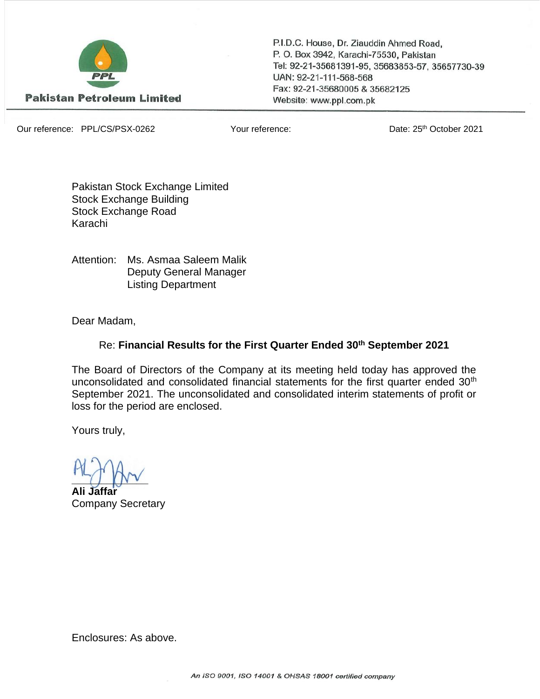

P.I.D.C. House, Dr. Ziauddin Ahmed Road, P. O. Box 3942, Karachi-75530, Pakistan Tel: 92-21-35681391-95, 35683853-57, 35657730-39 UAN: 92-21-111-568-568 Fax: 92-21-35680005 & 35682125 Website: www.ppl.com.pk

Our reference: PPL/CS/PSX-0262 Your reference: Date: 25th October 2021

Pakistan Stock Exchange Limited Stock Exchange Building Stock Exchange Road Karachi

Attention: Ms. Asmaa Saleem Malik Deputy General Manager Listing Department

Dear Madam,

## Re: **Financial Results for the First Quarter Ended 30th September 2021**

The Board of Directors of the Company at its meeting held today has approved the unconsolidated and consolidated financial statements for the first quarter ended 30<sup>th</sup> September 2021. The unconsolidated and consolidated interim statements of profit or loss for the period are enclosed.

Yours truly,

 $\sim$   $\sim$ 

**Ali Jaffar** Company Secretary

Enclosures: As above.